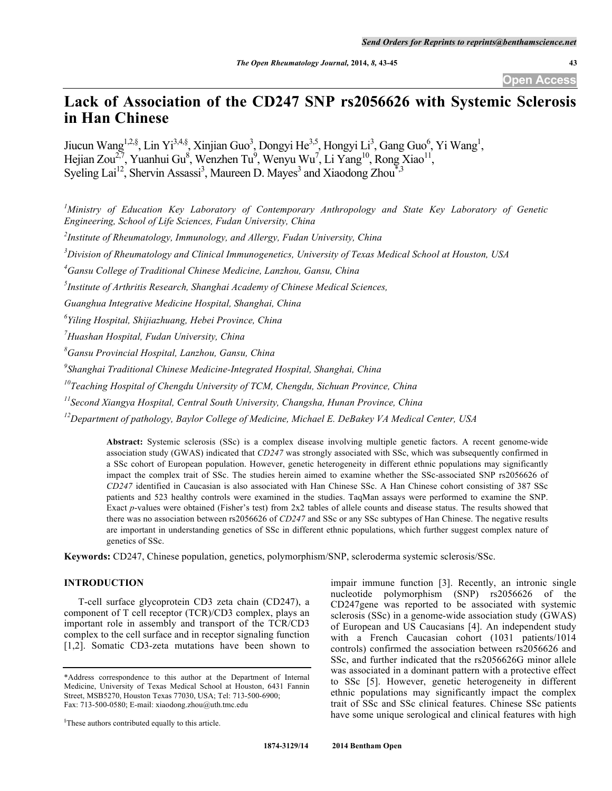**Open Access**

# **Lack of Association of the CD247 SNP rs2056626 with Systemic Sclerosis in Han Chinese**

Jiucun Wang<sup>1,2,§</sup>, Lin Yi<sup>3,4,§</sup>, Xinjian Guo<sup>3</sup>, Dongyi He<sup>3,5</sup>, Hongyi Li<sup>3</sup>, Gang Guo<sup>6</sup>, Yi Wang<sup>1</sup>, Hejian Zou<sup>2,7</sup>, Yuanhui Gu<sup>8</sup>, Wenzhen Tu<sup>9</sup>, Wenyu Wu<sup>7</sup>, Li Yang<sup>10</sup>, Rong Xiao<sup>11</sup>, Syeling Lai<sup>12</sup>, Shervin Assassi<sup>3</sup>, Maureen D. Mayes<sup>3</sup> and Xiaodong Zhou<sup>\*</sup><sup>3</sup>

*1 Ministry of Education Key Laboratory of Contemporary Anthropology and State Key Laboratory of Genetic Engineering, School of Life Sciences, Fudan University, China*

*2 Institute of Rheumatology, Immunology, and Allergy, Fudan University, China*

*3 Division of Rheumatology and Clinical Immunogenetics, University of Texas Medical School at Houston, USA*

*4 Gansu College of Traditional Chinese Medicine, Lanzhou, Gansu, China*

*5 Institute of Arthritis Research, Shanghai Academy of Chinese Medical Sciences,*

*Guanghua Integrative Medicine Hospital, Shanghai, China*

*6 Yiling Hospital, Shijiazhuang, Hebei Province, China*

*7 Huashan Hospital, Fudan University, China*

*8 Gansu Provincial Hospital, Lanzhou, Gansu, China*

*9 Shanghai Traditional Chinese Medicine-Integrated Hospital, Shanghai, China*

*10Teaching Hospital of Chengdu University of TCM, Chengdu, Sichuan Province, China*

*11Second Xiangya Hospital, Central South University, Changsha, Hunan Province, China*

*12Department of pathology, Baylor College of Medicine, Michael E. DeBakey VA Medical Center, USA*

**Abstract:** Systemic sclerosis (SSc) is a complex disease involving multiple genetic factors. A recent genome-wide association study (GWAS) indicated that *CD247* was strongly associated with SSc, which was subsequently confirmed in a SSc cohort of European population. However, genetic heterogeneity in different ethnic populations may significantly impact the complex trait of SSc. The studies herein aimed to examine whether the SSc-associated SNP rs2056626 of *CD247* identified in Caucasian is also associated with Han Chinese SSc. A Han Chinese cohort consisting of 387 SSc patients and 523 healthy controls were examined in the studies. TaqMan assays were performed to examine the SNP. Exact *p*-values were obtained (Fisher's test) from 2x2 tables of allele counts and disease status. The results showed that there was no association between rs2056626 of *CD247* and SSc or any SSc subtypes of Han Chinese. The negative results are important in understanding genetics of SSc in different ethnic populations, which further suggest complex nature of genetics of SSc.

**Keywords:** CD247, Chinese population, genetics, polymorphism/SNP, scleroderma systemic sclerosis/SSc.

# **INTRODUCTION**

T-cell surface glycoprotein CD3 zeta chain (CD247), a component of T cell receptor (TCR)/CD3 complex, plays an important role in assembly and transport of the TCR/CD3 complex to the cell surface and in receptor signaling function [1,2]. Somatic CD3-zeta mutations have been shown to

impair immune function [3]. Recently, an intronic single nucleotide polymorphism (SNP) rs2056626 of the CD247gene was reported to be associated with systemic sclerosis (SSc) in a genome-wide association study (GWAS) of European and US Caucasians [4]. An independent study with a French Caucasian cohort (1031 patients/1014 controls) confirmed the association between rs2056626 and SSc, and further indicated that the rs2056626G minor allele was associated in a dominant pattern with a protective effect to SSc [5]. However, genetic heterogeneity in different ethnic populations may significantly impact the complex trait of SSc and SSc clinical features. Chinese SSc patients have some unique serological and clinical features with high

<sup>\*</sup>Address correspondence to this author at the Department of Internal Medicine, University of Texas Medical School at Houston, 6431 Fannin Street, MSB5270, Houston Texas 77030, USA; Tel: 713-500-6900; Fax: 713-500-0580; E-mail: xiaodong.zhou@uth.tmc.edu

<sup>§</sup> These authors contributed equally to this article.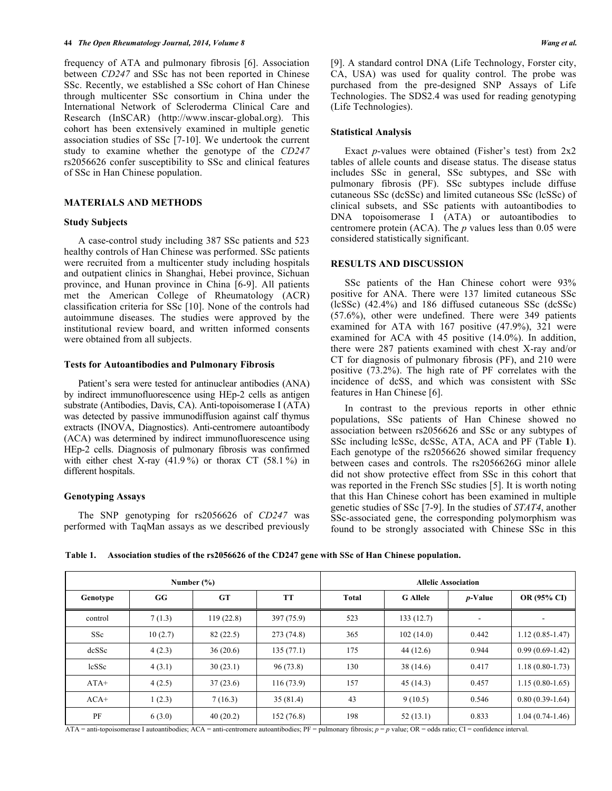frequency of ATA and pulmonary fibrosis [6]. Association between *CD247* and SSc has not been reported in Chinese SSc. Recently, we established a SSc cohort of Han Chinese through multicenter SSc consortium in China under the International Network of Scleroderma Clinical Care and Research (InSCAR) (http://www.inscar-global.org). This cohort has been extensively examined in multiple genetic association studies of SSc [7-10]. We undertook the current study to examine whether the genotype of the *CD247* rs2056626 confer susceptibility to SSc and clinical features of SSc in Han Chinese population.

## **MATERIALS AND METHODS**

### **Study Subjects**

A case-control study including 387 SSc patients and 523 healthy controls of Han Chinese was performed. SSc patients were recruited from a multicenter study including hospitals and outpatient clinics in Shanghai, Hebei province, Sichuan province, and Hunan province in China [6-9]. All patients met the American College of Rheumatology (ACR) classification criteria for SSc [10]. None of the controls had autoimmune diseases. The studies were approved by the institutional review board, and written informed consents were obtained from all subjects.

#### **Tests for Autoantibodies and Pulmonary Fibrosis**

Patient's sera were tested for antinuclear antibodies (ANA) by indirect immunofluorescence using HEp-2 cells as antigen substrate (Antibodies, Davis, CA). Anti-topoisomerase I (ATA) was detected by passive immunodiffusion against calf thymus extracts (INOVA, Diagnostics). Anti-centromere autoantibody (ACA) was determined by indirect immunofluorescence using HEp-2 cells. Diagnosis of pulmonary fibrosis was confirmed with either chest X-ray  $(41.9\%)$  or thorax CT  $(58.1\%)$  in different hospitals.

# **Genotyping Assays**

The SNP genotyping for rs2056626 of *CD247* was performed with TaqMan assays as we described previously [9]. A standard control DNA (Life Technology, Forster city, CA, USA) was used for quality control. The probe was purchased from the pre-designed SNP Assays of Life Technologies. The SDS2.4 was used for reading genotyping (Life Technologies).

#### **Statistical Analysis**

Exact *p*-values were obtained (Fisher's test) from 2x2 tables of allele counts and disease status. The disease status includes SSc in general, SSc subtypes, and SSc with pulmonary fibrosis (PF). SSc subtypes include diffuse cutaneous SSc (dcSSc) and limited cutaneous SSc (lcSSc) of clinical subsets, and SSc patients with autoantibodies to DNA topoisomerase I (ATA) or autoantibodies to centromere protein (ACA). The *p* values less than 0.05 were considered statistically significant.

#### **RESULTS AND DISCUSSION**

SSc patients of the Han Chinese cohort were 93% positive for ANA. There were 137 limited cutaneous SSc (lcSSc) (42.4%) and 186 diffused cutaneous SSc (dcSSc) (57.6%), other were undefined. There were 349 patients examined for ATA with 167 positive (47.9%), 321 were examined for ACA with 45 positive (14.0%). In addition, there were 287 patients examined with chest X-ray and/or CT for diagnosis of pulmonary fibrosis (PF), and 210 were positive (73.2%). The high rate of PF correlates with the incidence of dcSS, and which was consistent with SSc features in Han Chinese [6].

In contrast to the previous reports in other ethnic populations, SSc patients of Han Chinese showed no association between rs2056626 and SSc or any subtypes of SSc including lcSSc, dcSSc, ATA, ACA and PF (Table **1**). Each genotype of the rs2056626 showed similar frequency between cases and controls. The rs2056626G minor allele did not show protective effect from SSc in this cohort that was reported in the French SSc studies [5]. It is worth noting that this Han Chinese cohort has been examined in multiple genetic studies of SSc [7-9]. In the studies of *STAT4*, another SSc-associated gene, the corresponding polymorphism was found to be strongly associated with Chinese SSc in this

**Table 1. Association studies of the rs2056626 of the CD247 gene with SSc of Han Chinese population.**

| Number $(\% )$ |         |           |            | <b>Allelic Association</b> |                 |                 |                     |
|----------------|---------|-----------|------------|----------------------------|-----------------|-----------------|---------------------|
| Genotype       | GG      | <b>GT</b> | <b>TT</b>  | <b>Total</b>               | <b>G</b> Allele | <i>p</i> -Value | <b>OR (95% CI)</b>  |
| control        | 7(1.3)  | 119(22.8) | 397(75.9)  | 523                        | 133(12.7)       |                 | $\blacksquare$      |
| SSc            | 10(2.7) | 82(22.5)  | 273 (74.8) | 365                        | 102(14.0)       | 0.442           | $1.12(0.85 - 1.47)$ |
| dcSSc          | 4(2.3)  | 36(20.6)  | 135(77.1)  | 175                        | 44(12.6)        | 0.944           | $0.99(0.69-1.42)$   |
| <b>lcSSc</b>   | 4(3.1)  | 30(23.1)  | 96(73.8)   | 130                        | 38(14.6)        | 0.417           | $1.18(0.80-1.73)$   |
| $ATA+$         | 4(2.5)  | 37(23.6)  | 116(73.9)  | 157                        | 45(14.3)        | 0.457           | $1.15(0.80-1.65)$   |
| $ACA+$         | 1(2.3)  | 7(16.3)   | 35(81.4)   | 43                         | 9(10.5)         | 0.546           | $0.80(0.39-1.64)$   |
| PF             | 6(3.0)  | 40(20.2)  | 152 (76.8) | 198                        | 52(13.1)        | 0.833           | $1.04(0.74-1.46)$   |

ATA = anti-topoisomerase I autoantibodies; ACA = anti-centromere autoantibodies; PF = pulmonary fibrosis; *p* = *p* value; OR = odds ratio; CI = confidence interval.